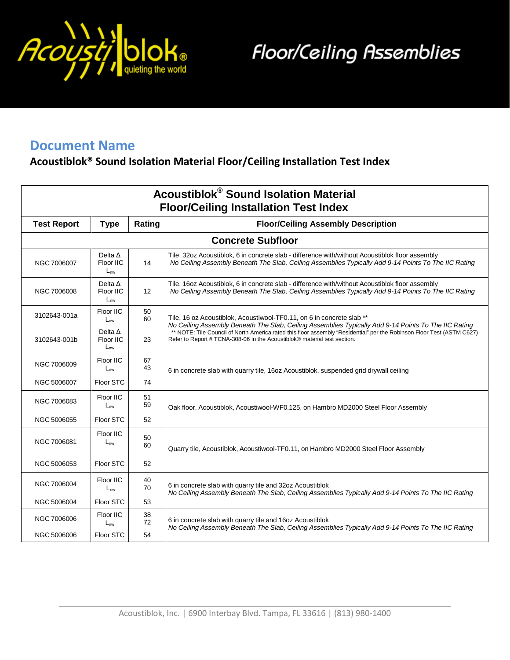

**Floor/Ceiling Assemblies** 

## **Document Name**

## **Acoustiblok® Sound Isolation Material Floor/Ceiling Installation Test Index**

| <b>Acoustiblok<sup>®</sup> Sound Isolation Material</b><br><b>Floor/Ceiling Installation Test Index</b> |                                         |                   |                                                                                                                                                                                                         |  |  |
|---------------------------------------------------------------------------------------------------------|-----------------------------------------|-------------------|---------------------------------------------------------------------------------------------------------------------------------------------------------------------------------------------------------|--|--|
| <b>Test Report</b>                                                                                      | <b>Type</b>                             | Rating            | <b>Floor/Ceiling Assembly Description</b>                                                                                                                                                               |  |  |
| <b>Concrete Subfloor</b>                                                                                |                                         |                   |                                                                                                                                                                                                         |  |  |
| NGC 7006007                                                                                             | Delta $\Delta$<br>Floor IIC<br>$L_{nw}$ | 14                | Tile, 32oz Acoustiblok, 6 in concrete slab - difference with/without Acoustiblok floor assembly<br>No Ceiling Assembly Beneath The Slab, Ceiling Assemblies Typically Add 9-14 Points To The IIC Rating |  |  |
| NGC 7006008                                                                                             | Delta $\Delta$<br>Floor IIC<br>$L_{nw}$ | $12 \overline{ }$ | Tile, 16oz Acoustiblok, 6 in concrete slab - difference with/without Acoustiblok floor assembly<br>No Ceiling Assembly Beneath The Slab, Ceiling Assemblies Typically Add 9-14 Points To The IIC Rating |  |  |
| 3102643-001a                                                                                            | Floor IIC<br>$L_{nw}$                   | 50<br>60          | Tile, 16 oz Acoustiblok, Acoustiwool-TF0.11, on 6 in concrete slab **<br>No Ceiling Assembly Beneath The Slab, Ceiling Assemblies Typically Add 9-14 Points To The IIC Rating                           |  |  |
| 3102643-001b                                                                                            | Delta $\Delta$<br>Floor IIC<br>$L_{nw}$ | 23                | ** NOTE: Tile Council of North America rated this floor assembly "Residential" per the Robinson Floor Test (ASTM C627)<br>Refer to Report # TCNA-308-06 in the Acoustiblok® material test section.      |  |  |
| NGC 7006009                                                                                             | Floor IIC<br>$L_{nw}$                   | 67<br>43          | 6 in concrete slab with quarry tile, 16oz Acoustiblok, suspended grid drywall ceiling                                                                                                                   |  |  |
| NGC 5006007                                                                                             | Floor STC                               | 74                |                                                                                                                                                                                                         |  |  |
| NGC 7006083                                                                                             | Floor IIC<br>$L_{nw}$                   | 51<br>59          | Oak floor, Acoustiblok, Acoustiwool-WF0.125, on Hambro MD2000 Steel Floor Assembly                                                                                                                      |  |  |
| NGC 5006055                                                                                             | Floor STC                               | 52                |                                                                                                                                                                                                         |  |  |
| NGC 7006081                                                                                             | Floor IIC<br>$L_{nw}$                   | 50<br>60          | Quarry tile, Acoustiblok, Acoustiwool-TF0.11, on Hambro MD2000 Steel Floor Assembly                                                                                                                     |  |  |
| NGC 5006053                                                                                             | Floor STC                               | 52                |                                                                                                                                                                                                         |  |  |
| NGC 7006004                                                                                             | Floor IIC<br>$L_{nw}$                   | 40<br>70          | 6 in concrete slab with quarry tile and 32oz Acoustiblok<br>No Ceiling Assembly Beneath The Slab, Ceiling Assemblies Typically Add 9-14 Points To The IIC Rating                                        |  |  |
| NGC 5006004                                                                                             | Floor STC                               | 53                |                                                                                                                                                                                                         |  |  |
| NGC 7006006                                                                                             | Floor IIC<br>$L_{nw}$                   | 38<br>72          | 6 in concrete slab with quarry tile and 16oz Acoustiblok<br>No Ceiling Assembly Beneath The Slab, Ceiling Assemblies Typically Add 9-14 Points To The IIC Rating                                        |  |  |
| NGC 5006006                                                                                             | Floor STC                               | 54                |                                                                                                                                                                                                         |  |  |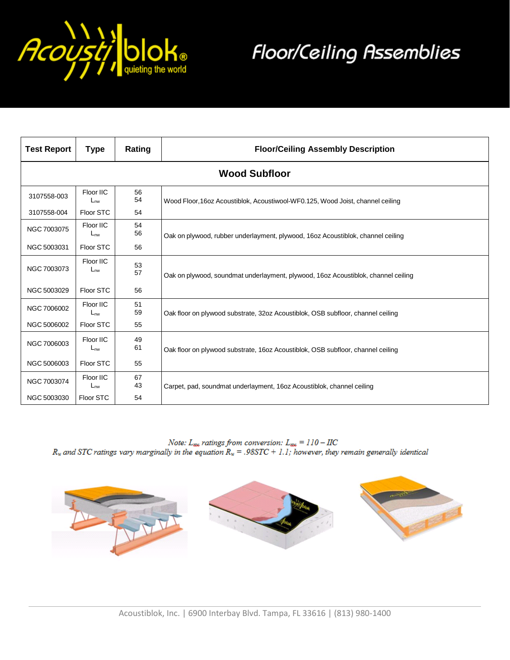

## **Floor/Ceiling Assemblies**

| <b>Test Report</b>   | <b>Type</b>           | Rating   | <b>Floor/Ceiling Assembly Description</b>                                         |  |
|----------------------|-----------------------|----------|-----------------------------------------------------------------------------------|--|
| <b>Wood Subfloor</b> |                       |          |                                                                                   |  |
| 3107558-003          | Floor IIC<br>$L_{nw}$ | 56<br>54 | Wood Floor, 160z Acoustiblok, Acoustiwool-WF0.125, Wood Joist, channel ceiling    |  |
| 3107558-004          | Floor STC             | 54       |                                                                                   |  |
| NGC 7003075          | Floor IIC<br>$L_{nw}$ | 54<br>56 | Oak on plywood, rubber underlayment, plywood, 16oz Acoustiblok, channel ceiling   |  |
| NGC 5003031          | Floor STC             | 56       |                                                                                   |  |
| NGC 7003073          | Floor IIC<br>$L_{nw}$ | 53<br>57 | Oak on plywood, soundmat underlayment, plywood, 16oz Acoustiblok, channel ceiling |  |
| NGC 5003029          | Floor STC             | 56       |                                                                                   |  |
| NGC 7006002          | Floor IIC<br>$L_{nw}$ | 51<br>59 | Oak floor on plywood substrate, 32oz Acoustiblok, OSB subfloor, channel ceiling   |  |
| NGC 5006002          | Floor STC             | 55       |                                                                                   |  |
| NGC 7006003          | Floor IIC<br>$L_{nw}$ | 49<br>61 | Oak floor on plywood substrate, 16oz Acoustiblok, OSB subfloor, channel ceiling   |  |
| NGC 5006003          | Floor STC             | 55       |                                                                                   |  |
| NGC 7003074          | Floor IIC<br>$L_{nw}$ | 67<br>43 | Carpet, pad, soundmat underlayment, 16oz Acoustiblok, channel ceiling             |  |
| NGC 5003030          | Floor STC             | 54       |                                                                                   |  |

*Note:*  $L_{\text{max}}$  ratings from conversion:  $L_{\text{max}} = 110 - \text{HC}$ <br> $R_w$  and STC ratings vary marginally in the equation  $R_w = .98 \text{STC} + 1.1$ ; however, they remain generally identical